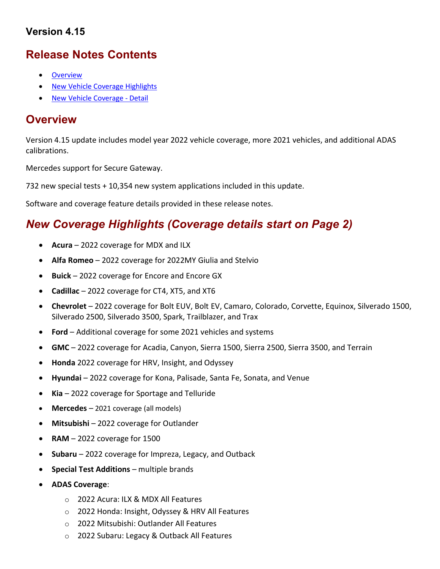## Version 4.15

# Release Notes Contents

- **Overview**
- New Vehicle Coverage Highlights
- New Vehicle Coverage Detail

## **Overview**

Version 4.15 update includes model year 2022 vehicle coverage, more 2021 vehicles, and additional ADAS calibrations.

Mercedes support for Secure Gateway.

732 new special tests + 10,354 new system applications included in this update.

Software and coverage feature details provided in these release notes.

# New Coverage Highlights (Coverage details start on Page 2)

- Acura 2022 coverage for MDX and ILX
- Alfa Romeo 2022 coverage for 2022MY Giulia and Stelvio
- Buick 2022 coverage for Encore and Encore GX
- Cadillac 2022 coverage for CT4, XT5, and XT6
- Chevrolet 2022 coverage for Bolt EUV, Bolt EV, Camaro, Colorado, Corvette, Equinox, Silverado 1500, Silverado 2500, Silverado 3500, Spark, Trailblazer, and Trax
- Ford Additional coverage for some 2021 vehicles and systems
- GMC 2022 coverage for Acadia, Canyon, Sierra 1500, Sierra 2500, Sierra 3500, and Terrain
- Honda 2022 coverage for HRV, Insight, and Odyssey
- Hyundai 2022 coverage for Kona, Palisade, Santa Fe, Sonata, and Venue
- Kia 2022 coverage for Sportage and Telluride
- Mercedes 2021 coverage (all models)
- Mitsubishi 2022 coverage for Outlander
- RAM 2022 coverage for 1500
- Subaru 2022 coverage for Impreza, Legacy, and Outback
- Special Test Additions multiple brands
- ADAS Coverage:
	- o 2022 Acura: ILX & MDX All Features
	- o 2022 Honda: Insight, Odyssey & HRV All Features
	- o 2022 Mitsubishi: Outlander All Features
	- o 2022 Subaru: Legacy & Outback All Features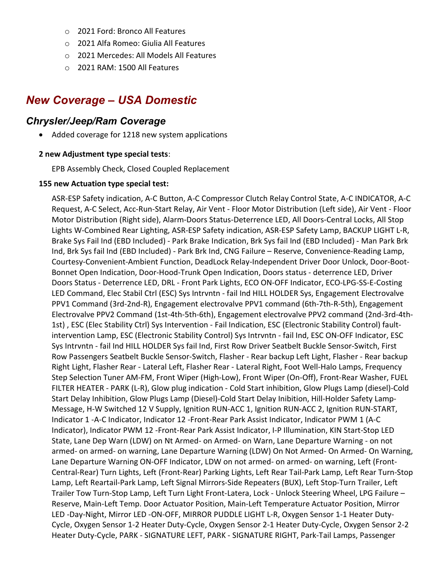- o 2021 Ford: Bronco All Features
- o 2021 Alfa Romeo: Giulia All Features
- o 2021 Mercedes: All Models All Features
- o 2021 RAM: 1500 All Features

## New Coverage – USA Domestic

## Chrysler/Jeep/Ram Coverage

Added coverage for 1218 new system applications

#### 2 new Adjustment type special tests:

EPB Assembly Check, Closed Coupled Replacement

#### 155 new Actuation type special test:

ASR-ESP Safety indication, A-C Button, A-C Compressor Clutch Relay Control State, A-C INDICATOR, A-C Request, A-C Select, Acc-Run-Start Relay, Air Vent - Floor Motor Distribution (Left side), Air Vent - Floor Motor Distribution (Right side), Alarm-Doors Status-Deterrence LED, All Doors-Central Locks, All Stop Lights W-Combined Rear Lighting, ASR-ESP Safety indication, ASR-ESP Safety Lamp, BACKUP LIGHT L-R, Brake Sys Fail Ind (EBD Included) - Park Brake Indication, Brk Sys fail Ind (EBD Included) - Man Park Brk Ind, Brk Sys fail Ind (EBD Included) - Park Brk Ind, CNG Failure – Reserve, Convenience-Reading Lamp, Courtesy-Convenient-Ambient Function, DeadLock Relay-Independent Driver Door Unlock, Door-Boot-Bonnet Open Indication, Door-Hood-Trunk Open Indication, Doors status - deterrence LED, Driver Doors Status - Deterrence LED, DRL - Front Park Lights, ECO ON-OFF Indicator, ECO-LPG-SS-E-Costing LED Command, Elec Stabil Ctrl (ESC) Sys Intrvntn - fail Ind HILL HOLDER Sys, Engagement Electrovalve PPV1 Command (3rd-2nd-R), Engagement electrovalve PPV1 command (6th-7th-R-5th), Engagement Electrovalve PPV2 Command (1st-4th-5th-6th), Engagement electrovalve PPV2 command (2nd-3rd-4th-1st) , ESC (Elec Stability Ctrl) Sys Intervention - Fail Indication, ESC (Electronic Stability Control) faultintervention Lamp, ESC (Electronic Stability Control) Sys Intrvntn - fail Ind, ESC ON-OFF Indicator, ESC Sys Intrvntn - fail Ind HILL HOLDER Sys fail Ind, First Row Driver Seatbelt Buckle Sensor-Switch, First Row Passengers Seatbelt Buckle Sensor-Switch, Flasher - Rear backup Left Light, Flasher - Rear backup Right Light, Flasher Rear - Lateral Left, Flasher Rear - Lateral Right, Foot Well-Halo Lamps, Frequency Step Selection Tuner AM-FM, Front Wiper (High-Low), Front Wiper (On-Off), Front-Rear Washer, FUEL FILTER HEATER - PARK (L-R), Glow plug indication - Cold Start inhibition, Glow Plugs Lamp (diesel)-Cold Start Delay Inhibition, Glow Plugs Lamp (Diesel)-Cold Start Delay Inibition, Hill-Holder Safety Lamp-Message, H-W Switched 12 V Supply, Ignition RUN-ACC 1, Ignition RUN-ACC 2, Ignition RUN-START, Indicator 1 -A-C Indicator, Indicator 12 -Front-Rear Park Assist Indicator, Indicator PWM 1 (A-C Indicator), Indicator PWM 12 -Front-Rear Park Assist Indicator, I-P Illumination, KIN Start-Stop LED State, Lane Dep Warn (LDW) on Nt Armed- on Armed- on Warn, Lane Departure Warning - on not armed- on armed- on warning, Lane Departure Warning (LDW) On Not Armed- On Armed- On Warning, Lane Departure Warning ON-OFF Indicator, LDW on not armed- on armed- on warning, Left (Front-Central-Rear) Turn Lights, Left (Front-Rear) Parking Lights, Left Rear Tail-Park Lamp, Left Rear Turn-Stop Lamp, Left Reartail-Park Lamp, Left Signal Mirrors-Side Repeaters (BUX), Left Stop-Turn Trailer, Left Trailer Tow Turn-Stop Lamp, Left Turn Light Front-Latera, Lock - Unlock Steering Wheel, LPG Failure – Reserve, Main-Left Temp. Door Actuator Position, Main-Left Temperature Actuator Position, Mirror LED -Day-Night, Mirror LED -ON-OFF, MIRROR PUDDLE LIGHT L-R, Oxygen Sensor 1-1 Heater Duty-Cycle, Oxygen Sensor 1-2 Heater Duty-Cycle, Oxygen Sensor 2-1 Heater Duty-Cycle, Oxygen Sensor 2-2 Heater Duty-Cycle, PARK - SIGNATURE LEFT, PARK - SIGNATURE RIGHT, Park-Tail Lamps, Passenger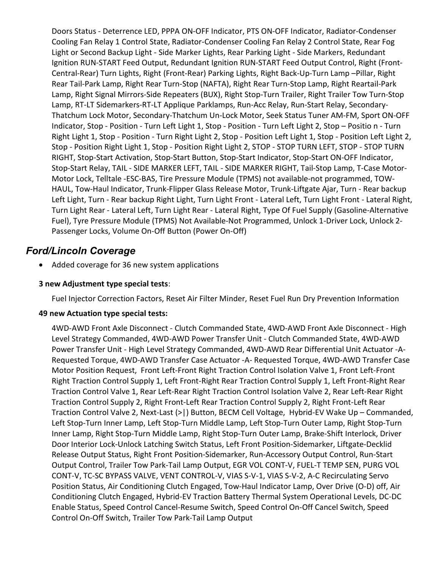Doors Status - Deterrence LED, PPPA ON-OFF Indicator, PTS ON-OFF Indicator, Radiator-Condenser Cooling Fan Relay 1 Control State, Radiator-Condenser Cooling Fan Relay 2 Control State, Rear Fog Light or Second Backup Light - Side Marker Lights, Rear Parking Light - Side Markers, Redundant Ignition RUN-START Feed Output, Redundant Ignition RUN-START Feed Output Control, Right (Front-Central-Rear) Turn Lights, Right (Front-Rear) Parking Lights, Right Back-Up-Turn Lamp –Pillar, Right Rear Tail-Park Lamp, Right Rear Turn-Stop (NAFTA), Right Rear Turn-Stop Lamp, Right Reartail-Park Lamp, Right Signal Mirrors-Side Repeaters (BUX), Right Stop-Turn Trailer, Right Trailer Tow Turn-Stop Lamp, RT-LT Sidemarkers-RT-LT Applique Parklamps, Run-Acc Relay, Run-Start Relay, Secondary-Thatchum Lock Motor, Secondary-Thatchum Un-Lock Motor, Seek Status Tuner AM-FM, Sport ON-OFF Indicator, Stop - Position - Turn Left Light 1, Stop - Position - Turn Left Light 2, Stop – Positio n - Turn Right Light 1, Stop - Position - Turn Right Light 2, Stop - Position Left Light 1, Stop - Position Left Light 2, Stop - Position Right Light 1, Stop - Position Right Light 2, STOP - STOP TURN LEFT, STOP - STOP TURN RIGHT, Stop-Start Activation, Stop-Start Button, Stop-Start Indicator, Stop-Start ON-OFF Indicator, Stop-Start Relay, TAIL - SIDE MARKER LEFT, TAIL - SIDE MARKER RIGHT, Tail-Stop Lamp, T-Case Motor-Motor Lock, Telltale -ESC-BAS, Tire Pressure Module (TPMS) not available-not programmed, TOW-HAUL, Tow-Haul Indicator, Trunk-Flipper Glass Release Motor, Trunk-Liftgate Ajar, Turn - Rear backup Left Light, Turn - Rear backup Right Light, Turn Light Front - Lateral Left, Turn Light Front - Lateral Right, Turn Light Rear - Lateral Left, Turn Light Rear - Lateral Right, Type Of Fuel Supply (Gasoline-Alternative Fuel), Tyre Pressure Module (TPMS) Not Available-Not Programmed, Unlock 1-Driver Lock, Unlock 2- Passenger Locks, Volume On-Off Button (Power On-Off)

## Ford/Lincoln Coverage

• Added coverage for 36 new system applications

## 3 new Adjustment type special tests:

Fuel Injector Correction Factors, Reset Air Filter Minder, Reset Fuel Run Dry Prevention Information

### 49 new Actuation type special tests:

4WD-AWD Front Axle Disconnect - Clutch Commanded State, 4WD-AWD Front Axle Disconnect - High Level Strategy Commanded, 4WD-AWD Power Transfer Unit - Clutch Commanded State, 4WD-AWD Power Transfer Unit - High Level Strategy Commanded, 4WD-AWD Rear Differential Unit Actuator -A-Requested Torque, 4WD-AWD Transfer Case Actuator -A- Requested Torque, 4WD-AWD Transfer Case Motor Position Request, Front Left-Front Right Traction Control Isolation Valve 1, Front Left-Front Right Traction Control Supply 1, Left Front-Right Rear Traction Control Supply 1, Left Front-Right Rear Traction Control Valve 1, Rear Left-Rear Right Traction Control Isolation Valve 2, Rear Left-Rear Right Traction Control Supply 2, Right Front-Left Rear Traction Control Supply 2, Right Front-Left Rear Traction Control Valve 2, Next-Last (>|) Button, BECM Cell Voltage, Hybrid-EV Wake Up – Commanded, Left Stop-Turn Inner Lamp, Left Stop-Turn Middle Lamp, Left Stop-Turn Outer Lamp, Right Stop-Turn Inner Lamp, Right Stop-Turn Middle Lamp, Right Stop-Turn Outer Lamp, Brake-Shift Interlock, Driver Door Interior Lock-Unlock Latching Switch Status, Left Front Position-Sidemarker, Liftgate-Decklid Release Output Status, Right Front Position-Sidemarker, Run-Accessory Output Control, Run-Start Output Control, Trailer Tow Park-Tail Lamp Output, EGR VOL CONT-V, FUEL-T TEMP SEN, PURG VOL CONT-V, TC-SC BYPASS VALVE, VENT CONTROL-V, VIAS S-V-1, VIAS S-V-2, A-C Recirculating Servo Position Status, Air Conditioning Clutch Engaged, Tow-Haul Indicator Lamp, Over Drive (O-D) off, Air Conditioning Clutch Engaged, Hybrid-EV Traction Battery Thermal System Operational Levels, DC-DC Enable Status, Speed Control Cancel-Resume Switch, Speed Control On-Off Cancel Switch, Speed Control On-Off Switch, Trailer Tow Park-Tail Lamp Output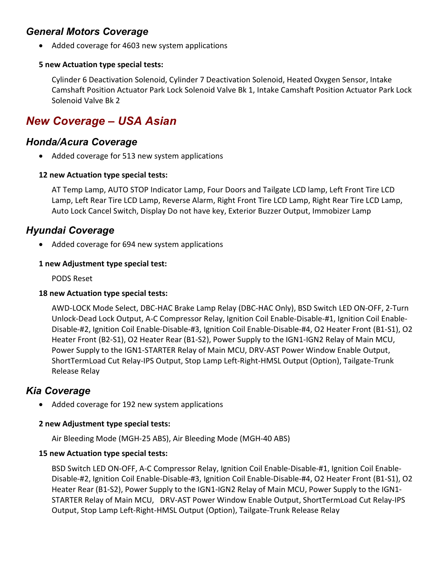## General Motors Coverage

Added coverage for 4603 new system applications

## 5 new Actuation type special tests:

Cylinder 6 Deactivation Solenoid, Cylinder 7 Deactivation Solenoid, Heated Oxygen Sensor, Intake Camshaft Position Actuator Park Lock Solenoid Valve Bk 1, Intake Camshaft Position Actuator Park Lock Solenoid Valve Bk 2

# New Coverage – USA Asian

## Honda/Acura Coverage

Added coverage for 513 new system applications

### 12 new Actuation type special tests:

AT Temp Lamp, AUTO STOP Indicator Lamp, Four Doors and Tailgate LCD lamp, Left Front Tire LCD Lamp, Left Rear Tire LCD Lamp, Reverse Alarm, Right Front Tire LCD Lamp, Right Rear Tire LCD Lamp, Auto Lock Cancel Switch, Display Do not have key, Exterior Buzzer Output, Immobizer Lamp

## Hyundai Coverage

Added coverage for 694 new system applications

### 1 new Adjustment type special test:

PODS Reset

### 18 new Actuation type special tests:

AWD-LOCK Mode Select, DBC-HAC Brake Lamp Relay (DBC-HAC Only), BSD Switch LED ON-OFF, 2-Turn Unlock-Dead Lock Output, A-C Compressor Relay, Ignition Coil Enable-Disable-#1, Ignition Coil Enable-Disable-#2, Ignition Coil Enable-Disable-#3, Ignition Coil Enable-Disable-#4, O2 Heater Front (B1-S1), O2 Heater Front (B2-S1), O2 Heater Rear (B1-S2), Power Supply to the IGN1-IGN2 Relay of Main MCU, Power Supply to the IGN1-STARTER Relay of Main MCU, DRV-AST Power Window Enable Output, ShortTermLoad Cut Relay-IPS Output, Stop Lamp Left-Right-HMSL Output (Option), Tailgate-Trunk Release Relay

## Kia Coverage

Added coverage for 192 new system applications

### 2 new Adjustment type special tests:

Air Bleeding Mode (MGH-25 ABS), Air Bleeding Mode (MGH-40 ABS)

### 15 new Actuation type special tests:

BSD Switch LED ON-OFF, A-C Compressor Relay, Ignition Coil Enable-Disable-#1, Ignition Coil Enable-Disable-#2, Ignition Coil Enable-Disable-#3, Ignition Coil Enable-Disable-#4, O2 Heater Front (B1-S1), O2 Heater Rear (B1-S2), Power Supply to the IGN1-IGN2 Relay of Main MCU, Power Supply to the IGN1- STARTER Relay of Main MCU, DRV-AST Power Window Enable Output, ShortTermLoad Cut Relay-IPS Output, Stop Lamp Left-Right-HMSL Output (Option), Tailgate-Trunk Release Relay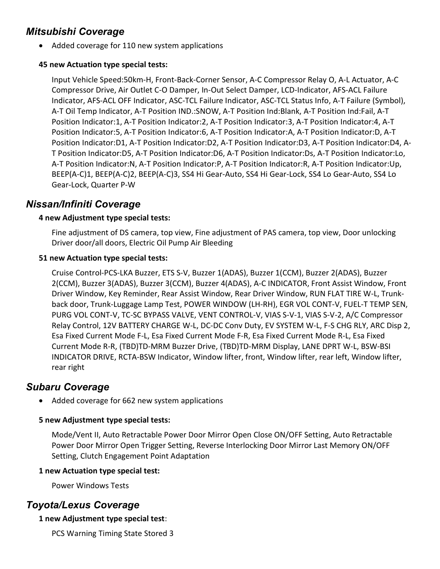## Mitsubishi Coverage

• Added coverage for 110 new system applications

### 45 new Actuation type special tests:

Input Vehicle Speed:50km-H, Front-Back-Corner Sensor, A-C Compressor Relay O, A-L Actuator, A-C Compressor Drive, Air Outlet C-O Damper, In-Out Select Damper, LCD-Indicator, AFS-ACL Failure Indicator, AFS-ACL OFF Indicator, ASC-TCL Failure Indicator, ASC-TCL Status Info, A-T Failure (Symbol), A-T Oil Temp Indicator, A-T Position IND.:SNOW, A-T Position Ind:Blank, A-T Position Ind:Fail, A-T Position Indicator:1, A-T Position Indicator:2, A-T Position Indicator:3, A-T Position Indicator:4, A-T Position Indicator:5, A-T Position Indicator:6, A-T Position Indicator:A, A-T Position Indicator:D, A-T Position Indicator:D1, A-T Position Indicator:D2, A-T Position Indicator:D3, A-T Position Indicator:D4, A-T Position Indicator:D5, A-T Position Indicator:D6, A-T Position Indicator:Ds, A-T Position Indicator:Lo, A-T Position Indicator:N, A-T Position Indicator:P, A-T Position Indicator:R, A-T Position Indicator:Up, BEEP(A-C)1, BEEP(A-C)2, BEEP(A-C)3, SS4 Hi Gear-Auto, SS4 Hi Gear-Lock, SS4 Lo Gear-Auto, SS4 Lo Gear-Lock, Quarter P-W

## Nissan/Infiniti Coverage

### 4 new Adjustment type special tests:

Fine adjustment of DS camera, top view, Fine adjustment of PAS camera, top view, Door unlocking Driver door/all doors, Electric Oil Pump Air Bleeding

### 51 new Actuation type special tests:

Cruise Control-PCS-LKA Buzzer, ETS S-V, Buzzer 1(ADAS), Buzzer 1(CCM), Buzzer 2(ADAS), Buzzer 2(CCM), Buzzer 3(ADAS), Buzzer 3(CCM), Buzzer 4(ADAS), A-C INDICATOR, Front Assist Window, Front Driver Window, Key Reminder, Rear Assist Window, Rear Driver Window, RUN FLAT TIRE W-L, Trunkback door, Trunk-Luggage Lamp Test, POWER WINDOW (LH-RH), EGR VOL CONT-V, FUEL-T TEMP SEN, PURG VOL CONT-V, TC-SC BYPASS VALVE, VENT CONTROL-V, VIAS S-V-1, VIAS S-V-2, A/C Compressor Relay Control, 12V BATTERY CHARGE W-L, DC-DC Conv Duty, EV SYSTEM W-L, F-S CHG RLY, ARC Disp 2, Esa Fixed Current Mode F-L, Esa Fixed Current Mode F-R, Esa Fixed Current Mode R-L, Esa Fixed Current Mode R-R, (TBD)TD-MRM Buzzer Drive, (TBD)TD-MRM Display, LANE DPRT W-L, BSW-BSI INDICATOR DRIVE, RCTA-BSW Indicator, Window lifter, front, Window lifter, rear left, Window lifter, rear right

## Subaru Coverage

• Added coverage for 662 new system applications

### 5 new Adjustment type special tests:

Mode/Vent II, Auto Retractable Power Door Mirror Open Close ON/OFF Setting, Auto Retractable Power Door Mirror Open Trigger Setting, Reverse Interlocking Door Mirror Last Memory ON/OFF Setting, Clutch Engagement Point Adaptation

#### 1 new Actuation type special test:

Power Windows Tests

## Toyota/Lexus Coverage

### 1 new Adjustment type special test:

PCS Warning Timing State Stored 3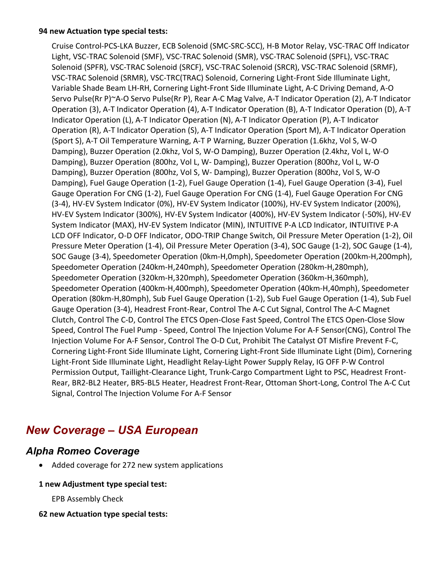#### 94 new Actuation type special tests:

Cruise Control-PCS-LKA Buzzer, ECB Solenoid (SMC-SRC-SCC), H-B Motor Relay, VSC-TRAC Off Indicator Light, VSC-TRAC Solenoid (SMF), VSC-TRAC Solenoid (SMR), VSC-TRAC Solenoid (SPFL), VSC-TRAC Solenoid (SPFR), VSC-TRAC Solenoid (SRCF), VSC-TRAC Solenoid (SRCR), VSC-TRAC Solenoid (SRMF), VSC-TRAC Solenoid (SRMR), VSC-TRC(TRAC) Solenoid, Cornering Light-Front Side Illuminate Light, Variable Shade Beam LH-RH, Cornering Light-Front Side Illuminate Light, A-C Driving Demand, A-O Servo Pulse(Rr P)~A-O Servo Pulse(Rr P), Rear A-C Mag Valve, A-T Indicator Operation (2), A-T Indicator Operation (3), A-T Indicator Operation (4), A-T Indicator Operation (B), A-T Indicator Operation (D), A-T Indicator Operation (L), A-T Indicator Operation (N), A-T Indicator Operation (P), A-T Indicator Operation (R), A-T Indicator Operation (S), A-T Indicator Operation (Sport M), A-T Indicator Operation (Sport S), A-T Oil Temperature Warning, A-T P Warning, Buzzer Operation (1.6khz, Vol S, W-O Damping), Buzzer Operation (2.0khz, Vol S, W-O Damping), Buzzer Operation (2.4khz, Vol L, W-O Damping), Buzzer Operation (800hz, Vol L, W- Damping), Buzzer Operation (800hz, Vol L, W-O Damping), Buzzer Operation (800hz, Vol S, W- Damping), Buzzer Operation (800hz, Vol S, W-O Damping), Fuel Gauge Operation (1-2), Fuel Gauge Operation (1-4), Fuel Gauge Operation (3-4), Fuel Gauge Operation For CNG (1-2), Fuel Gauge Operation For CNG (1-4), Fuel Gauge Operation For CNG (3-4), HV-EV System Indicator (0%), HV-EV System Indicator (100%), HV-EV System Indicator (200%), HV-EV System Indicator (300%), HV-EV System Indicator (400%), HV-EV System Indicator (-50%), HV-EV System Indicator (MAX), HV-EV System Indicator (MIN), INTUITIVE P-A LCD Indicator, INTUITIVE P-A LCD OFF Indicator, O-D OFF Indicator, ODO-TRIP Change Switch, Oil Pressure Meter Operation (1-2), Oil Pressure Meter Operation (1-4), Oil Pressure Meter Operation (3-4), SOC Gauge (1-2), SOC Gauge (1-4), SOC Gauge (3-4), Speedometer Operation (0km-H,0mph), Speedometer Operation (200km-H,200mph), Speedometer Operation (240km-H,240mph), Speedometer Operation (280km-H,280mph), Speedometer Operation (320km-H,320mph), Speedometer Operation (360km-H,360mph), Speedometer Operation (400km-H,400mph), Speedometer Operation (40km-H,40mph), Speedometer Operation (80km-H,80mph), Sub Fuel Gauge Operation (1-2), Sub Fuel Gauge Operation (1-4), Sub Fuel Gauge Operation (3-4), Headrest Front-Rear, Control The A-C Cut Signal, Control The A-C Magnet Clutch, Control The C-D, Control The ETCS Open-Close Fast Speed, Control The ETCS Open-Close Slow Speed, Control The Fuel Pump - Speed, Control The Injection Volume For A-F Sensor(CNG), Control The Injection Volume For A-F Sensor, Control The O-D Cut, Prohibit The Catalyst OT Misfire Prevent F-C, Cornering Light-Front Side Illuminate Light, Cornering Light-Front Side Illuminate Light (Dim), Cornering Light-Front Side Illuminate Light, Headlight Relay-Light Power Supply Relay, IG OFF P-W Control Permission Output, Taillight-Clearance Light, Trunk-Cargo Compartment Light to PSC, Headrest Front-Rear, BR2-BL2 Heater, BR5-BL5 Heater, Headrest Front-Rear, Ottoman Short-Long, Control The A-C Cut Signal, Control The Injection Volume For A-F Sensor

# New Coverage – USA European

## Alpha Romeo Coverage

• Added coverage for 272 new system applications

### 1 new Adjustment type special test:

EPB Assembly Check

62 new Actuation type special tests: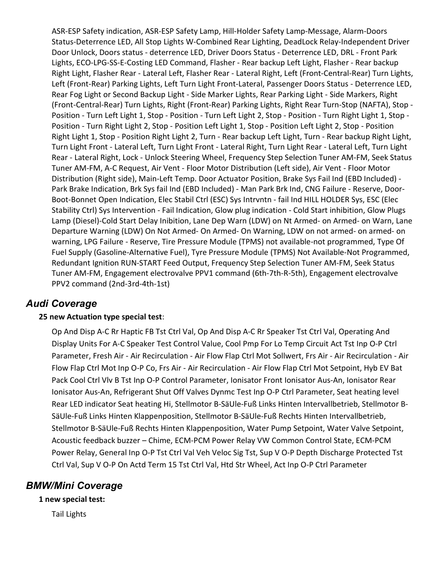ASR-ESP Safety indication, ASR-ESP Safety Lamp, Hill-Holder Safety Lamp-Message, Alarm-Doors Status-Deterrence LED, All Stop Lights W-Combined Rear Lighting, DeadLock Relay-Independent Driver Door Unlock, Doors status - deterrence LED, Driver Doors Status - Deterrence LED, DRL - Front Park Lights, ECO-LPG-SS-E-Costing LED Command, Flasher - Rear backup Left Light, Flasher - Rear backup Right Light, Flasher Rear - Lateral Left, Flasher Rear - Lateral Right, Left (Front-Central-Rear) Turn Lights, Left (Front-Rear) Parking Lights, Left Turn Light Front-Lateral, Passenger Doors Status - Deterrence LED, Rear Fog Light or Second Backup Light - Side Marker Lights, Rear Parking Light - Side Markers, Right (Front-Central-Rear) Turn Lights, Right (Front-Rear) Parking Lights, Right Rear Turn-Stop (NAFTA), Stop - Position - Turn Left Light 1, Stop - Position - Turn Left Light 2, Stop - Position - Turn Right Light 1, Stop - Position - Turn Right Light 2, Stop - Position Left Light 1, Stop - Position Left Light 2, Stop - Position Right Light 1, Stop - Position Right Light 2, Turn - Rear backup Left Light, Turn - Rear backup Right Light, Turn Light Front - Lateral Left, Turn Light Front - Lateral Right, Turn Light Rear - Lateral Left, Turn Light Rear - Lateral Right, Lock - Unlock Steering Wheel, Frequency Step Selection Tuner AM-FM, Seek Status Tuner AM-FM, A-C Request, Air Vent - Floor Motor Distribution (Left side), Air Vent - Floor Motor Distribution (Right side), Main-Left Temp. Door Actuator Position, Brake Sys Fail Ind (EBD Included) - Park Brake Indication, Brk Sys fail Ind (EBD Included) - Man Park Brk Ind, CNG Failure - Reserve, Door-Boot-Bonnet Open Indication, Elec Stabil Ctrl (ESC) Sys Intrvntn - fail Ind HILL HOLDER Sys, ESC (Elec Stability Ctrl) Sys Intervention - Fail Indication, Glow plug indication - Cold Start inhibition, Glow Plugs Lamp (Diesel)-Cold Start Delay Inibition, Lane Dep Warn (LDW) on Nt Armed- on Armed- on Warn, Lane Departure Warning (LDW) On Not Armed- On Armed- On Warning, LDW on not armed- on armed- on warning, LPG Failure - Reserve, Tire Pressure Module (TPMS) not available-not programmed, Type Of Fuel Supply (Gasoline-Alternative Fuel), Tyre Pressure Module (TPMS) Not Available-Not Programmed, Redundant Ignition RUN-START Feed Output, Frequency Step Selection Tuner AM-FM, Seek Status Tuner AM-FM, Engagement electrovalve PPV1 command (6th-7th-R-5th), Engagement electrovalve PPV2 command (2nd-3rd-4th-1st)

## Audi Coverage

### 25 new Actuation type special test:

Op And Disp A-C Rr Haptic FB Tst Ctrl Val, Op And Disp A-C Rr Speaker Tst Ctrl Val, Operating And Display Units For A-C Speaker Test Control Value, Cool Pmp For Lo Temp Circuit Act Tst Inp O-P Ctrl Parameter, Fresh Air - Air Recirculation - Air Flow Flap Ctrl Mot Sollwert, Frs Air - Air Recirculation - Air Flow Flap Ctrl Mot Inp O-P Co, Frs Air - Air Recirculation - Air Flow Flap Ctrl Mot Setpoint, Hyb EV Bat Pack Cool Ctrl Vlv B Tst Inp O-P Control Parameter, Ionisator Front Ionisator Aus-An, Ionisator Rear Ionisator Aus-An, Refrigerant Shut Off Valves Dynmc Test Inp O-P Ctrl Parameter, Seat heating level Rear LED indicator Seat heating Hi, Stellmotor B-SäUle-Fuß Links Hinten Intervallbetrieb, Stellmotor B-SäUle-Fuß Links Hinten Klappenposition, Stellmotor B-SäUle-Fuß Rechts Hinten Intervallbetrieb, Stellmotor B-SäUle-Fuß Rechts Hinten Klappenposition, Water Pump Setpoint, Water Valve Setpoint, Acoustic feedback buzzer – Chime, ECM-PCM Power Relay VW Common Control State, ECM-PCM Power Relay, General Inp O-P Tst Ctrl Val Veh Veloc Sig Tst, Sup V O-P Depth Discharge Protected Tst Ctrl Val, Sup V O-P On Actd Term 15 Tst Ctrl Val, Htd Str Wheel, Act Inp O-P Ctrl Parameter

## BMW/Mini Coverage

## 1 new special test:

Tail Lights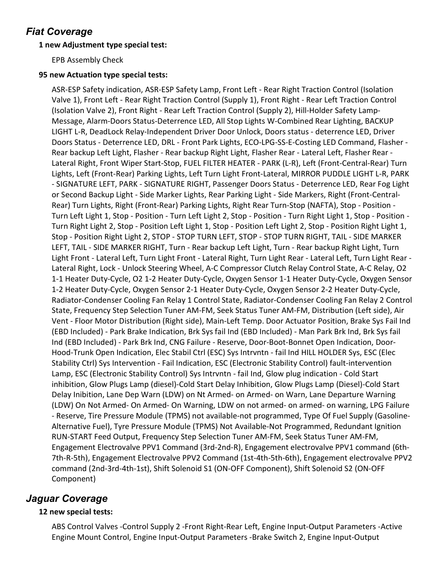## Fiat Coverage

### 1 new Adjustment type special test:

EPB Assembly Check

### 95 new Actuation type special tests:

ASR-ESP Safety indication, ASR-ESP Safety Lamp, Front Left - Rear Right Traction Control (Isolation Valve 1), Front Left - Rear Right Traction Control (Supply 1), Front Right - Rear Left Traction Control (Isolation Valve 2), Front Right - Rear Left Traction Control (Supply 2), Hill-Holder Safety Lamp-Message, Alarm-Doors Status-Deterrence LED, All Stop Lights W-Combined Rear Lighting, BACKUP LIGHT L-R, DeadLock Relay-Independent Driver Door Unlock, Doors status - deterrence LED, Driver Doors Status - Deterrence LED, DRL - Front Park Lights, ECO-LPG-SS-E-Costing LED Command, Flasher - Rear backup Left Light, Flasher - Rear backup Right Light, Flasher Rear - Lateral Left, Flasher Rear - Lateral Right, Front Wiper Start-Stop, FUEL FILTER HEATER - PARK (L-R), Left (Front-Central-Rear) Turn Lights, Left (Front-Rear) Parking Lights, Left Turn Light Front-Lateral, MIRROR PUDDLE LIGHT L-R, PARK - SIGNATURE LEFT, PARK - SIGNATURE RIGHT, Passenger Doors Status - Deterrence LED, Rear Fog Light or Second Backup Light - Side Marker Lights, Rear Parking Light - Side Markers, Right (Front-Central-Rear) Turn Lights, Right (Front-Rear) Parking Lights, Right Rear Turn-Stop (NAFTA), Stop - Position - Turn Left Light 1, Stop - Position - Turn Left Light 2, Stop - Position - Turn Right Light 1, Stop - Position - Turn Right Light 2, Stop - Position Left Light 1, Stop - Position Left Light 2, Stop - Position Right Light 1, Stop - Position Right Light 2, STOP - STOP TURN LEFT, STOP - STOP TURN RIGHT, TAIL - SIDE MARKER LEFT, TAIL - SIDE MARKER RIGHT, Turn - Rear backup Left Light, Turn - Rear backup Right Light, Turn Light Front - Lateral Left, Turn Light Front - Lateral Right, Turn Light Rear - Lateral Left, Turn Light Rear - Lateral Right, Lock - Unlock Steering Wheel, A-C Compressor Clutch Relay Control State, A-C Relay, O2 1-1 Heater Duty-Cycle, O2 1-2 Heater Duty-Cycle, Oxygen Sensor 1-1 Heater Duty-Cycle, Oxygen Sensor 1-2 Heater Duty-Cycle, Oxygen Sensor 2-1 Heater Duty-Cycle, Oxygen Sensor 2-2 Heater Duty-Cycle, Radiator-Condenser Cooling Fan Relay 1 Control State, Radiator-Condenser Cooling Fan Relay 2 Control State, Frequency Step Selection Tuner AM-FM, Seek Status Tuner AM-FM, Distribution (Left side), Air Vent - Floor Motor Distribution (Right side), Main-Left Temp. Door Actuator Position, Brake Sys Fail Ind (EBD Included) - Park Brake Indication, Brk Sys fail Ind (EBD Included) - Man Park Brk Ind, Brk Sys fail Ind (EBD Included) - Park Brk Ind, CNG Failure - Reserve, Door-Boot-Bonnet Open Indication, Door-Hood-Trunk Open Indication, Elec Stabil Ctrl (ESC) Sys Intrvntn - fail Ind HILL HOLDER Sys, ESC (Elec Stability Ctrl) Sys Intervention - Fail Indication, ESC (Electronic Stability Control) fault-intervention Lamp, ESC (Electronic Stability Control) Sys Intrvntn - fail Ind, Glow plug indication - Cold Start inhibition, Glow Plugs Lamp (diesel)-Cold Start Delay Inhibition, Glow Plugs Lamp (Diesel)-Cold Start Delay Inibition, Lane Dep Warn (LDW) on Nt Armed- on Armed- on Warn, Lane Departure Warning (LDW) On Not Armed- On Armed- On Warning, LDW on not armed- on armed- on warning, LPG Failure - Reserve, Tire Pressure Module (TPMS) not available-not programmed, Type Of Fuel Supply (Gasoline-Alternative Fuel), Tyre Pressure Module (TPMS) Not Available-Not Programmed, Redundant Ignition RUN-START Feed Output, Frequency Step Selection Tuner AM-FM, Seek Status Tuner AM-FM, Engagement Electrovalve PPV1 Command (3rd-2nd-R), Engagement electrovalve PPV1 command (6th-7th-R-5th), Engagement Electrovalve PPV2 Command (1st-4th-5th-6th), Engagement electrovalve PPV2 command (2nd-3rd-4th-1st), Shift Solenoid S1 (ON-OFF Component), Shift Solenoid S2 (ON-OFF Component)

## Jaguar Coverage

## 12 new special tests:

ABS Control Valves -Control Supply 2 -Front Right-Rear Left, Engine Input-Output Parameters -Active Engine Mount Control, Engine Input-Output Parameters -Brake Switch 2, Engine Input-Output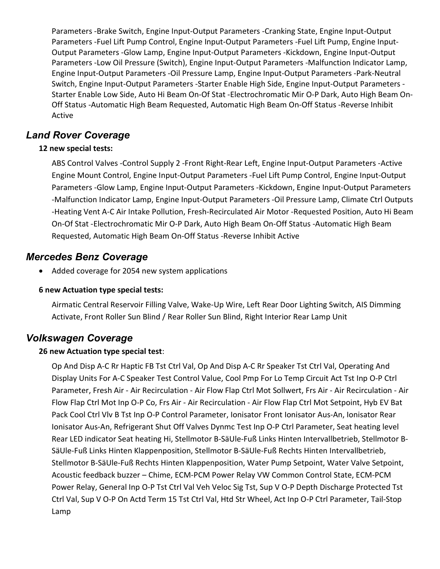Parameters -Brake Switch, Engine Input-Output Parameters -Cranking State, Engine Input-Output Parameters -Fuel Lift Pump Control, Engine Input-Output Parameters -Fuel Lift Pump, Engine Input-Output Parameters -Glow Lamp, Engine Input-Output Parameters -Kickdown, Engine Input-Output Parameters -Low Oil Pressure (Switch), Engine Input-Output Parameters -Malfunction Indicator Lamp, Engine Input-Output Parameters -Oil Pressure Lamp, Engine Input-Output Parameters -Park-Neutral Switch, Engine Input-Output Parameters -Starter Enable High Side, Engine Input-Output Parameters - Starter Enable Low Side, Auto Hi Beam On-Of Stat -Electrochromatic Mir O-P Dark, Auto High Beam On-Off Status -Automatic High Beam Requested, Automatic High Beam On-Off Status -Reverse Inhibit Active

## Land Rover Coverage

## 12 new special tests:

ABS Control Valves -Control Supply 2 -Front Right-Rear Left, Engine Input-Output Parameters -Active Engine Mount Control, Engine Input-Output Parameters -Fuel Lift Pump Control, Engine Input-Output Parameters -Glow Lamp, Engine Input-Output Parameters -Kickdown, Engine Input-Output Parameters -Malfunction Indicator Lamp, Engine Input-Output Parameters -Oil Pressure Lamp, Climate Ctrl Outputs -Heating Vent A-C Air Intake Pollution, Fresh-Recirculated Air Motor -Requested Position, Auto Hi Beam On-Of Stat -Electrochromatic Mir O-P Dark, Auto High Beam On-Off Status -Automatic High Beam Requested, Automatic High Beam On-Off Status -Reverse Inhibit Active

## Mercedes Benz Coverage

• Added coverage for 2054 new system applications

### 6 new Actuation type special tests:

Airmatic Central Reservoir Filling Valve, Wake-Up Wire, Left Rear Door Lighting Switch, AIS Dimming Activate, Front Roller Sun Blind / Rear Roller Sun Blind, Right Interior Rear Lamp Unit

## Volkswagen Coverage

### 26 new Actuation type special test:

Op And Disp A-C Rr Haptic FB Tst Ctrl Val, Op And Disp A-C Rr Speaker Tst Ctrl Val, Operating And Display Units For A-C Speaker Test Control Value, Cool Pmp For Lo Temp Circuit Act Tst Inp O-P Ctrl Parameter, Fresh Air - Air Recirculation - Air Flow Flap Ctrl Mot Sollwert, Frs Air - Air Recirculation - Air Flow Flap Ctrl Mot Inp O-P Co, Frs Air - Air Recirculation - Air Flow Flap Ctrl Mot Setpoint, Hyb EV Bat Pack Cool Ctrl Vlv B Tst Inp O-P Control Parameter, Ionisator Front Ionisator Aus-An, Ionisator Rear Ionisator Aus-An, Refrigerant Shut Off Valves Dynmc Test Inp O-P Ctrl Parameter, Seat heating level Rear LED indicator Seat heating Hi, Stellmotor B-SäUle-Fuß Links Hinten Intervallbetrieb, Stellmotor B-SäUle-Fuß Links Hinten Klappenposition, Stellmotor B-SäUle-Fuß Rechts Hinten Intervallbetrieb, Stellmotor B-SäUle-Fuß Rechts Hinten Klappenposition, Water Pump Setpoint, Water Valve Setpoint, Acoustic feedback buzzer – Chime, ECM-PCM Power Relay VW Common Control State, ECM-PCM Power Relay, General Inp O-P Tst Ctrl Val Veh Veloc Sig Tst, Sup V O-P Depth Discharge Protected Tst Ctrl Val, Sup V O-P On Actd Term 15 Tst Ctrl Val, Htd Str Wheel, Act Inp O-P Ctrl Parameter, Tail-Stop Lamp